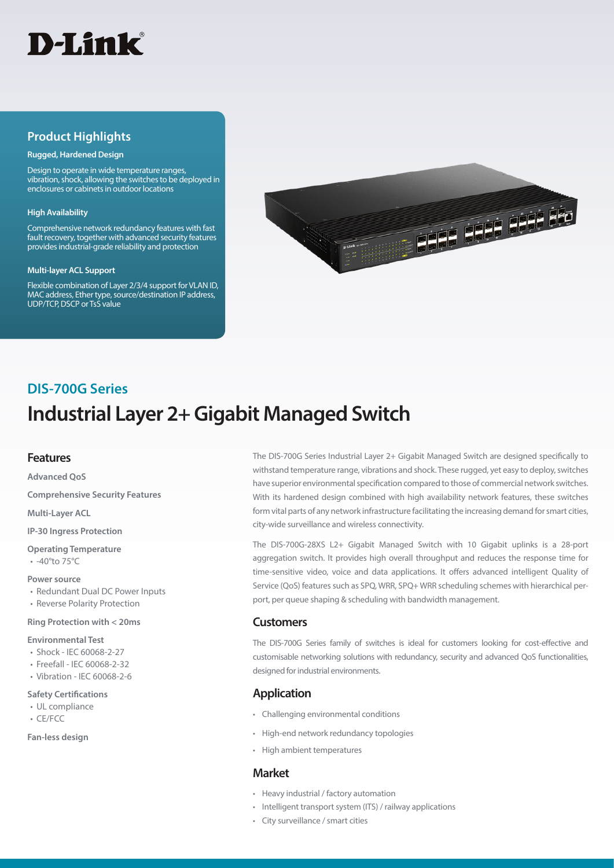

## **Product Highlights**

#### **Rugged, Hardened Design**

Design to operate in wide temperature ranges, vibration, shock, allowing the switches to be deployed in enclosures or cabinets in outdoor locations

#### **High Availability**

Comprehensive network redundancy features with fast fault recovery, together with advanced security features provides industrial-grade reliability and protection

#### **Multi-layer ACL Support**

Flexible combination of Layer 2/3/4 support for VLAN ID, MAC address, Ether type, source/destination IP address, UDP/TCP, DSCP or TsS value



# **Industrial Layer 2+ Gigabit Managed Switch DIS-700G Series**

### **Features**

**Advanced QoS Comprehensive Security Features Multi-Layer ACL**

**IP-30 Ingress Protection** 

**Operating Temperature** • -40°to 75°C

#### **Power source**

- Redundant Dual DC Power Inputs
- Reverse Polarity Protection

#### **Ring Protection with < 20ms**

#### **Environmental Test**

- Shock IEC 60068-2-27
- Freefall IEC 60068-2-32
- Vibration IEC 60068-2-6

#### **Safety Certifications**

- UL compliance
- CE/FCC

#### **Fan-less design**

The DIS-700G Series Industrial Layer 2+ Gigabit Managed Switch are designed specifically to withstand temperature range, vibrations and shock. These rugged, yet easy to deploy, switches have superior environmental specification compared to those of commercial network switches. With its hardened design combined with high availability network features, these switches form vital parts of any network infrastructure facilitating the increasing demand for smart cities, city-wide surveillance and wireless connectivity.

The DIS-700G-28XS L2+ Gigabit Managed Switch with 10 Gigabit uplinks is a 28-port aggregation switch. It provides high overall throughput and reduces the response time for time-sensitive video, voice and data applications. It offers advanced intelligent Quality of Service (QoS) features such as SPQ, WRR, SPQ+ WRR scheduling schemes with hierarchical perport, per queue shaping & scheduling with bandwidth management.

### **Customers**

The DIS-700G Series family of switches is ideal for customers looking for cost-effective and customisable networking solutions with redundancy, security and advanced QoS functionalities, designed for industrial environments.

## **Application**

- Challenging environmental conditions
- High-end network redundancy topologies
- High ambient temperatures

### **Market**

- Heavy industrial / factory automation
- Intelligent transport system (ITS) / railway applications
- City surveillance / smart cities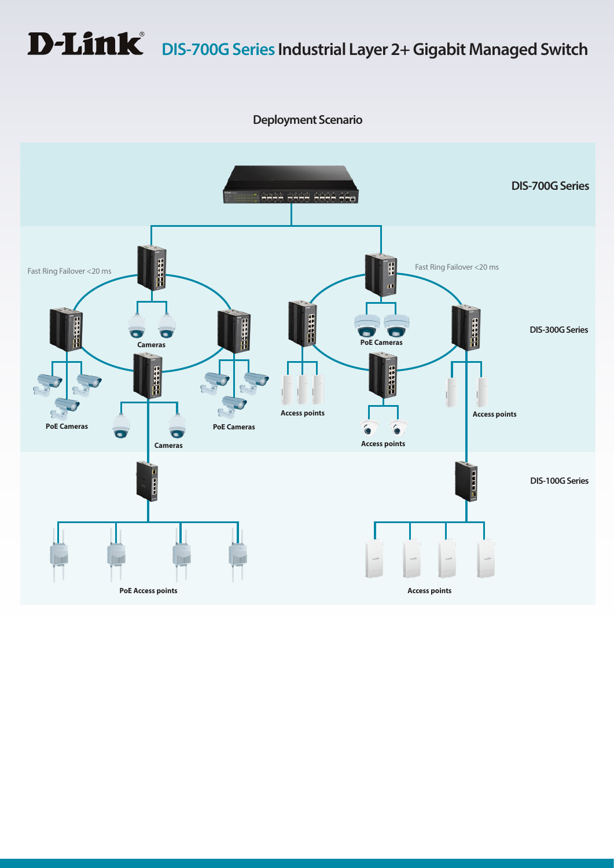# **D-Link** DIS-700G Series Industrial Layer 2+ Gigabit Managed Switch

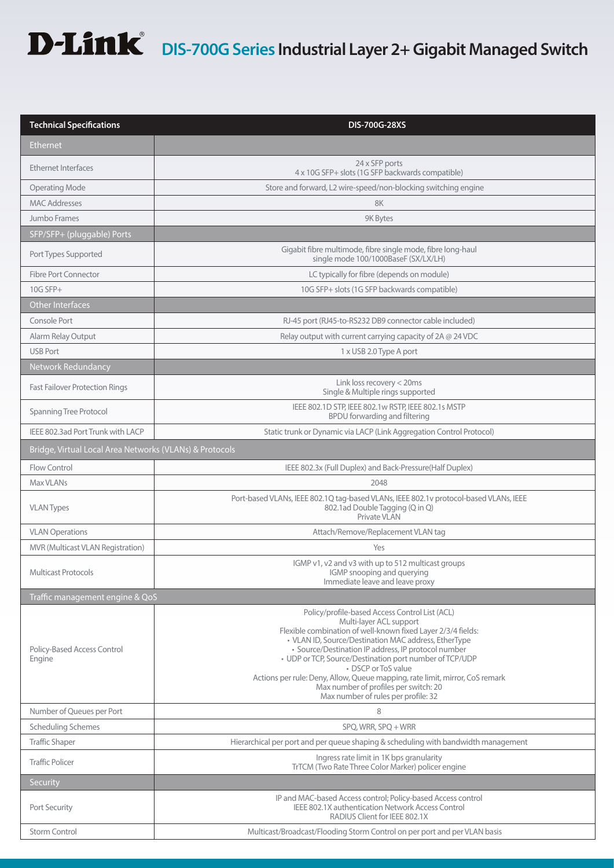# **D-Link** DIS-700G Series Industrial Layer 2+ Gigabit Managed Switch

| Ethernet<br>24 x SFP ports<br><b>Ethernet Interfaces</b><br>4 x 10G SFP+ slots (1G SFP backwards compatible)<br><b>Operating Mode</b><br>Store and forward, L2 wire-speed/non-blocking switching engine<br><b>MAC Addresses</b><br>8K<br>Jumbo Frames<br>9K Bytes<br>SFP/SFP+ (pluggable) Ports<br>Gigabit fibre multimode, fibre single mode, fibre long-haul<br>Port Types Supported<br>single mode 100/1000BaseF (SX/LX/LH)<br>LC typically for fibre (depends on module)<br><b>Fibre Port Connector</b><br>10G SFP+ slots (1G SFP backwards compatible)<br>$10G$ SFP+<br>Other Interfaces<br>Console Port<br>RJ-45 port (RJ45-to-RS232 DB9 connector cable included)<br>Alarm Relay Output<br>Relay output with current carrying capacity of 2A @ 24 VDC<br><b>USB Port</b><br>1 x USB 2.0 Type A port<br>Network Redundancy<br>Link loss recovery < 20ms<br><b>Fast Failover Protection Rings</b><br>Single & Multiple rings supported<br>IEEE 802.1D STP, IEEE 802.1w RSTP, IEEE 802.1s MSTP<br>Spanning Tree Protocol<br>BPDU forwarding and filtering<br>IEEE 802.3ad Port Trunk with LACP<br>Static trunk or Dynamic via LACP (Link Aggregation Control Protocol)<br>Bridge, Virtual Local Area Networks (VLANs) & Protocols<br>IEEE 802.3x (Full Duplex) and Back-Pressure(Half Duplex)<br>Flow Control<br>Max VLANs<br>2048<br>Port-based VLANs, IEEE 802.1Q tag-based VLANs, IEEE 802.1v protocol-based VLANs, IEEE<br>802.1ad Double Tagging (Q in Q)<br><b>VLAN Types</b><br>Private VLAN<br><b>VLAN Operations</b><br>Attach/Remove/Replacement VLAN tag<br>MVR (Multicast VLAN Registration)<br>Yes<br>IGMP v1, v2 and v3 with up to 512 multicast groups<br><b>Multicast Protocols</b><br>IGMP snooping and querying<br>Immediate leave and leave proxy<br>Traffic management engine & QoS<br>Policy/profile-based Access Control List (ACL)<br>Multi-layer ACL support<br>Flexible combination of well-known fixed Layer 2/3/4 fields:<br>• VLAN ID, Source/Destination MAC address, EtherType<br>· Source/Destination IP address, IP protocol number<br>Policy-Based Access Control<br>• UDP or TCP, Source/Destination port number of TCP/UDP<br>Engine<br>• DSCP or ToS value<br>Actions per rule: Deny, Allow, Queue mapping, rate limit, mirror, CoS remark<br>Max number of profiles per switch: 20<br>Max number of rules per profile: 32<br>Number of Queues per Port<br>8<br><b>Scheduling Schemes</b><br>SPQ, WRR, SPQ + WRR<br><b>Traffic Shaper</b><br>Hierarchical per port and per queue shaping & scheduling with bandwidth management<br>Ingress rate limit in 1K bps granularity<br><b>Traffic Policer</b><br>TrTCM (Two Rate Three Color Marker) policer engine<br>Security<br>IP and MAC-based Access control; Policy-based Access control<br>IEEE 802.1X authentication Network Access Control<br>Port Security<br>RADIUS Client for IEEE 802.1X<br><b>Storm Control</b><br>Multicast/Broadcast/Flooding Storm Control on per port and per VLAN basis | <b>Technical Specifications</b> | DIS-700G-28XS |  |
|---------------------------------------------------------------------------------------------------------------------------------------------------------------------------------------------------------------------------------------------------------------------------------------------------------------------------------------------------------------------------------------------------------------------------------------------------------------------------------------------------------------------------------------------------------------------------------------------------------------------------------------------------------------------------------------------------------------------------------------------------------------------------------------------------------------------------------------------------------------------------------------------------------------------------------------------------------------------------------------------------------------------------------------------------------------------------------------------------------------------------------------------------------------------------------------------------------------------------------------------------------------------------------------------------------------------------------------------------------------------------------------------------------------------------------------------------------------------------------------------------------------------------------------------------------------------------------------------------------------------------------------------------------------------------------------------------------------------------------------------------------------------------------------------------------------------------------------------------------------------------------------------------------------------------------------------------------------------------------------------------------------------------------------------------------------------------------------------------------------------------------------------------------------------------------------------------------------------------------------------------------------------------------------------------------------------------------------------------------------------------------------------------------------------------------------------------------------------------------------------------------------------------------------------------------------------------------------------------------------------------------------------------------------------------------------------------------------------------------------------------------------------------------------------------------------------------------------------------------------------------------------------------------------------------------------------------------------------------------------------|---------------------------------|---------------|--|
|                                                                                                                                                                                                                                                                                                                                                                                                                                                                                                                                                                                                                                                                                                                                                                                                                                                                                                                                                                                                                                                                                                                                                                                                                                                                                                                                                                                                                                                                                                                                                                                                                                                                                                                                                                                                                                                                                                                                                                                                                                                                                                                                                                                                                                                                                                                                                                                                                                                                                                                                                                                                                                                                                                                                                                                                                                                                                                                                                                                             |                                 |               |  |
|                                                                                                                                                                                                                                                                                                                                                                                                                                                                                                                                                                                                                                                                                                                                                                                                                                                                                                                                                                                                                                                                                                                                                                                                                                                                                                                                                                                                                                                                                                                                                                                                                                                                                                                                                                                                                                                                                                                                                                                                                                                                                                                                                                                                                                                                                                                                                                                                                                                                                                                                                                                                                                                                                                                                                                                                                                                                                                                                                                                             |                                 |               |  |
|                                                                                                                                                                                                                                                                                                                                                                                                                                                                                                                                                                                                                                                                                                                                                                                                                                                                                                                                                                                                                                                                                                                                                                                                                                                                                                                                                                                                                                                                                                                                                                                                                                                                                                                                                                                                                                                                                                                                                                                                                                                                                                                                                                                                                                                                                                                                                                                                                                                                                                                                                                                                                                                                                                                                                                                                                                                                                                                                                                                             |                                 |               |  |
|                                                                                                                                                                                                                                                                                                                                                                                                                                                                                                                                                                                                                                                                                                                                                                                                                                                                                                                                                                                                                                                                                                                                                                                                                                                                                                                                                                                                                                                                                                                                                                                                                                                                                                                                                                                                                                                                                                                                                                                                                                                                                                                                                                                                                                                                                                                                                                                                                                                                                                                                                                                                                                                                                                                                                                                                                                                                                                                                                                                             |                                 |               |  |
|                                                                                                                                                                                                                                                                                                                                                                                                                                                                                                                                                                                                                                                                                                                                                                                                                                                                                                                                                                                                                                                                                                                                                                                                                                                                                                                                                                                                                                                                                                                                                                                                                                                                                                                                                                                                                                                                                                                                                                                                                                                                                                                                                                                                                                                                                                                                                                                                                                                                                                                                                                                                                                                                                                                                                                                                                                                                                                                                                                                             |                                 |               |  |
|                                                                                                                                                                                                                                                                                                                                                                                                                                                                                                                                                                                                                                                                                                                                                                                                                                                                                                                                                                                                                                                                                                                                                                                                                                                                                                                                                                                                                                                                                                                                                                                                                                                                                                                                                                                                                                                                                                                                                                                                                                                                                                                                                                                                                                                                                                                                                                                                                                                                                                                                                                                                                                                                                                                                                                                                                                                                                                                                                                                             |                                 |               |  |
|                                                                                                                                                                                                                                                                                                                                                                                                                                                                                                                                                                                                                                                                                                                                                                                                                                                                                                                                                                                                                                                                                                                                                                                                                                                                                                                                                                                                                                                                                                                                                                                                                                                                                                                                                                                                                                                                                                                                                                                                                                                                                                                                                                                                                                                                                                                                                                                                                                                                                                                                                                                                                                                                                                                                                                                                                                                                                                                                                                                             |                                 |               |  |
|                                                                                                                                                                                                                                                                                                                                                                                                                                                                                                                                                                                                                                                                                                                                                                                                                                                                                                                                                                                                                                                                                                                                                                                                                                                                                                                                                                                                                                                                                                                                                                                                                                                                                                                                                                                                                                                                                                                                                                                                                                                                                                                                                                                                                                                                                                                                                                                                                                                                                                                                                                                                                                                                                                                                                                                                                                                                                                                                                                                             |                                 |               |  |
|                                                                                                                                                                                                                                                                                                                                                                                                                                                                                                                                                                                                                                                                                                                                                                                                                                                                                                                                                                                                                                                                                                                                                                                                                                                                                                                                                                                                                                                                                                                                                                                                                                                                                                                                                                                                                                                                                                                                                                                                                                                                                                                                                                                                                                                                                                                                                                                                                                                                                                                                                                                                                                                                                                                                                                                                                                                                                                                                                                                             |                                 |               |  |
|                                                                                                                                                                                                                                                                                                                                                                                                                                                                                                                                                                                                                                                                                                                                                                                                                                                                                                                                                                                                                                                                                                                                                                                                                                                                                                                                                                                                                                                                                                                                                                                                                                                                                                                                                                                                                                                                                                                                                                                                                                                                                                                                                                                                                                                                                                                                                                                                                                                                                                                                                                                                                                                                                                                                                                                                                                                                                                                                                                                             |                                 |               |  |
|                                                                                                                                                                                                                                                                                                                                                                                                                                                                                                                                                                                                                                                                                                                                                                                                                                                                                                                                                                                                                                                                                                                                                                                                                                                                                                                                                                                                                                                                                                                                                                                                                                                                                                                                                                                                                                                                                                                                                                                                                                                                                                                                                                                                                                                                                                                                                                                                                                                                                                                                                                                                                                                                                                                                                                                                                                                                                                                                                                                             |                                 |               |  |
|                                                                                                                                                                                                                                                                                                                                                                                                                                                                                                                                                                                                                                                                                                                                                                                                                                                                                                                                                                                                                                                                                                                                                                                                                                                                                                                                                                                                                                                                                                                                                                                                                                                                                                                                                                                                                                                                                                                                                                                                                                                                                                                                                                                                                                                                                                                                                                                                                                                                                                                                                                                                                                                                                                                                                                                                                                                                                                                                                                                             |                                 |               |  |
|                                                                                                                                                                                                                                                                                                                                                                                                                                                                                                                                                                                                                                                                                                                                                                                                                                                                                                                                                                                                                                                                                                                                                                                                                                                                                                                                                                                                                                                                                                                                                                                                                                                                                                                                                                                                                                                                                                                                                                                                                                                                                                                                                                                                                                                                                                                                                                                                                                                                                                                                                                                                                                                                                                                                                                                                                                                                                                                                                                                             |                                 |               |  |
|                                                                                                                                                                                                                                                                                                                                                                                                                                                                                                                                                                                                                                                                                                                                                                                                                                                                                                                                                                                                                                                                                                                                                                                                                                                                                                                                                                                                                                                                                                                                                                                                                                                                                                                                                                                                                                                                                                                                                                                                                                                                                                                                                                                                                                                                                                                                                                                                                                                                                                                                                                                                                                                                                                                                                                                                                                                                                                                                                                                             |                                 |               |  |
|                                                                                                                                                                                                                                                                                                                                                                                                                                                                                                                                                                                                                                                                                                                                                                                                                                                                                                                                                                                                                                                                                                                                                                                                                                                                                                                                                                                                                                                                                                                                                                                                                                                                                                                                                                                                                                                                                                                                                                                                                                                                                                                                                                                                                                                                                                                                                                                                                                                                                                                                                                                                                                                                                                                                                                                                                                                                                                                                                                                             |                                 |               |  |
|                                                                                                                                                                                                                                                                                                                                                                                                                                                                                                                                                                                                                                                                                                                                                                                                                                                                                                                                                                                                                                                                                                                                                                                                                                                                                                                                                                                                                                                                                                                                                                                                                                                                                                                                                                                                                                                                                                                                                                                                                                                                                                                                                                                                                                                                                                                                                                                                                                                                                                                                                                                                                                                                                                                                                                                                                                                                                                                                                                                             |                                 |               |  |
|                                                                                                                                                                                                                                                                                                                                                                                                                                                                                                                                                                                                                                                                                                                                                                                                                                                                                                                                                                                                                                                                                                                                                                                                                                                                                                                                                                                                                                                                                                                                                                                                                                                                                                                                                                                                                                                                                                                                                                                                                                                                                                                                                                                                                                                                                                                                                                                                                                                                                                                                                                                                                                                                                                                                                                                                                                                                                                                                                                                             |                                 |               |  |
|                                                                                                                                                                                                                                                                                                                                                                                                                                                                                                                                                                                                                                                                                                                                                                                                                                                                                                                                                                                                                                                                                                                                                                                                                                                                                                                                                                                                                                                                                                                                                                                                                                                                                                                                                                                                                                                                                                                                                                                                                                                                                                                                                                                                                                                                                                                                                                                                                                                                                                                                                                                                                                                                                                                                                                                                                                                                                                                                                                                             |                                 |               |  |
|                                                                                                                                                                                                                                                                                                                                                                                                                                                                                                                                                                                                                                                                                                                                                                                                                                                                                                                                                                                                                                                                                                                                                                                                                                                                                                                                                                                                                                                                                                                                                                                                                                                                                                                                                                                                                                                                                                                                                                                                                                                                                                                                                                                                                                                                                                                                                                                                                                                                                                                                                                                                                                                                                                                                                                                                                                                                                                                                                                                             |                                 |               |  |
|                                                                                                                                                                                                                                                                                                                                                                                                                                                                                                                                                                                                                                                                                                                                                                                                                                                                                                                                                                                                                                                                                                                                                                                                                                                                                                                                                                                                                                                                                                                                                                                                                                                                                                                                                                                                                                                                                                                                                                                                                                                                                                                                                                                                                                                                                                                                                                                                                                                                                                                                                                                                                                                                                                                                                                                                                                                                                                                                                                                             |                                 |               |  |
|                                                                                                                                                                                                                                                                                                                                                                                                                                                                                                                                                                                                                                                                                                                                                                                                                                                                                                                                                                                                                                                                                                                                                                                                                                                                                                                                                                                                                                                                                                                                                                                                                                                                                                                                                                                                                                                                                                                                                                                                                                                                                                                                                                                                                                                                                                                                                                                                                                                                                                                                                                                                                                                                                                                                                                                                                                                                                                                                                                                             |                                 |               |  |
|                                                                                                                                                                                                                                                                                                                                                                                                                                                                                                                                                                                                                                                                                                                                                                                                                                                                                                                                                                                                                                                                                                                                                                                                                                                                                                                                                                                                                                                                                                                                                                                                                                                                                                                                                                                                                                                                                                                                                                                                                                                                                                                                                                                                                                                                                                                                                                                                                                                                                                                                                                                                                                                                                                                                                                                                                                                                                                                                                                                             |                                 |               |  |
|                                                                                                                                                                                                                                                                                                                                                                                                                                                                                                                                                                                                                                                                                                                                                                                                                                                                                                                                                                                                                                                                                                                                                                                                                                                                                                                                                                                                                                                                                                                                                                                                                                                                                                                                                                                                                                                                                                                                                                                                                                                                                                                                                                                                                                                                                                                                                                                                                                                                                                                                                                                                                                                                                                                                                                                                                                                                                                                                                                                             |                                 |               |  |
|                                                                                                                                                                                                                                                                                                                                                                                                                                                                                                                                                                                                                                                                                                                                                                                                                                                                                                                                                                                                                                                                                                                                                                                                                                                                                                                                                                                                                                                                                                                                                                                                                                                                                                                                                                                                                                                                                                                                                                                                                                                                                                                                                                                                                                                                                                                                                                                                                                                                                                                                                                                                                                                                                                                                                                                                                                                                                                                                                                                             |                                 |               |  |
|                                                                                                                                                                                                                                                                                                                                                                                                                                                                                                                                                                                                                                                                                                                                                                                                                                                                                                                                                                                                                                                                                                                                                                                                                                                                                                                                                                                                                                                                                                                                                                                                                                                                                                                                                                                                                                                                                                                                                                                                                                                                                                                                                                                                                                                                                                                                                                                                                                                                                                                                                                                                                                                                                                                                                                                                                                                                                                                                                                                             |                                 |               |  |
|                                                                                                                                                                                                                                                                                                                                                                                                                                                                                                                                                                                                                                                                                                                                                                                                                                                                                                                                                                                                                                                                                                                                                                                                                                                                                                                                                                                                                                                                                                                                                                                                                                                                                                                                                                                                                                                                                                                                                                                                                                                                                                                                                                                                                                                                                                                                                                                                                                                                                                                                                                                                                                                                                                                                                                                                                                                                                                                                                                                             |                                 |               |  |
|                                                                                                                                                                                                                                                                                                                                                                                                                                                                                                                                                                                                                                                                                                                                                                                                                                                                                                                                                                                                                                                                                                                                                                                                                                                                                                                                                                                                                                                                                                                                                                                                                                                                                                                                                                                                                                                                                                                                                                                                                                                                                                                                                                                                                                                                                                                                                                                                                                                                                                                                                                                                                                                                                                                                                                                                                                                                                                                                                                                             |                                 |               |  |
|                                                                                                                                                                                                                                                                                                                                                                                                                                                                                                                                                                                                                                                                                                                                                                                                                                                                                                                                                                                                                                                                                                                                                                                                                                                                                                                                                                                                                                                                                                                                                                                                                                                                                                                                                                                                                                                                                                                                                                                                                                                                                                                                                                                                                                                                                                                                                                                                                                                                                                                                                                                                                                                                                                                                                                                                                                                                                                                                                                                             |                                 |               |  |
|                                                                                                                                                                                                                                                                                                                                                                                                                                                                                                                                                                                                                                                                                                                                                                                                                                                                                                                                                                                                                                                                                                                                                                                                                                                                                                                                                                                                                                                                                                                                                                                                                                                                                                                                                                                                                                                                                                                                                                                                                                                                                                                                                                                                                                                                                                                                                                                                                                                                                                                                                                                                                                                                                                                                                                                                                                                                                                                                                                                             |                                 |               |  |
|                                                                                                                                                                                                                                                                                                                                                                                                                                                                                                                                                                                                                                                                                                                                                                                                                                                                                                                                                                                                                                                                                                                                                                                                                                                                                                                                                                                                                                                                                                                                                                                                                                                                                                                                                                                                                                                                                                                                                                                                                                                                                                                                                                                                                                                                                                                                                                                                                                                                                                                                                                                                                                                                                                                                                                                                                                                                                                                                                                                             |                                 |               |  |
|                                                                                                                                                                                                                                                                                                                                                                                                                                                                                                                                                                                                                                                                                                                                                                                                                                                                                                                                                                                                                                                                                                                                                                                                                                                                                                                                                                                                                                                                                                                                                                                                                                                                                                                                                                                                                                                                                                                                                                                                                                                                                                                                                                                                                                                                                                                                                                                                                                                                                                                                                                                                                                                                                                                                                                                                                                                                                                                                                                                             |                                 |               |  |
|                                                                                                                                                                                                                                                                                                                                                                                                                                                                                                                                                                                                                                                                                                                                                                                                                                                                                                                                                                                                                                                                                                                                                                                                                                                                                                                                                                                                                                                                                                                                                                                                                                                                                                                                                                                                                                                                                                                                                                                                                                                                                                                                                                                                                                                                                                                                                                                                                                                                                                                                                                                                                                                                                                                                                                                                                                                                                                                                                                                             |                                 |               |  |
|                                                                                                                                                                                                                                                                                                                                                                                                                                                                                                                                                                                                                                                                                                                                                                                                                                                                                                                                                                                                                                                                                                                                                                                                                                                                                                                                                                                                                                                                                                                                                                                                                                                                                                                                                                                                                                                                                                                                                                                                                                                                                                                                                                                                                                                                                                                                                                                                                                                                                                                                                                                                                                                                                                                                                                                                                                                                                                                                                                                             |                                 |               |  |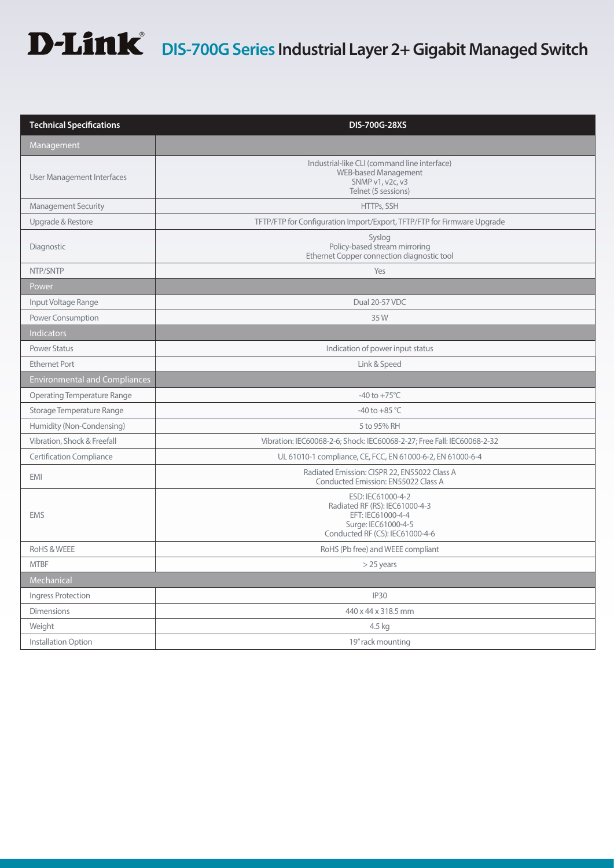# **D-Link** DIS-700G Series Industrial Layer 2+ Gigabit Managed Switch

| <b>Technical Specifications</b>      | <b>DIS-700G-28XS</b>                                                                                                               |
|--------------------------------------|------------------------------------------------------------------------------------------------------------------------------------|
| Management                           |                                                                                                                                    |
| User Management Interfaces           | Industrial-like CLI (command line interface)<br>WEB-based Management<br>SNMP v1, v2c, v3<br>Telnet (5 sessions)                    |
| <b>Management Security</b>           | HTTPs, SSH                                                                                                                         |
| Upgrade & Restore                    | TFTP/FTP for Configuration Import/Export, TFTP/FTP for Firmware Upgrade                                                            |
| Diagnostic                           | Syslog<br>Policy-based stream mirroring<br>Ethernet Copper connection diagnostic tool                                              |
| NTP/SNTP                             | Yes                                                                                                                                |
| Power                                |                                                                                                                                    |
| Input Voltage Range                  | Dual 20-57 VDC                                                                                                                     |
| Power Consumption                    | 35W                                                                                                                                |
| Indicators                           |                                                                                                                                    |
| <b>Power Status</b>                  | Indication of power input status                                                                                                   |
| <b>Ethernet Port</b>                 | Link & Speed                                                                                                                       |
| <b>Environmental and Compliances</b> |                                                                                                                                    |
| <b>Operating Temperature Range</b>   | $-40$ to $+75^{\circ}$ C                                                                                                           |
| Storage Temperature Range            | -40 to +85 $^{\circ}$ C                                                                                                            |
| Humidity (Non-Condensing)            | 5 to 95% RH                                                                                                                        |
| Vibration, Shock & Freefall          | Vibration: IEC60068-2-6; Shock: IEC60068-2-27; Free Fall: IEC60068-2-32                                                            |
| <b>Certification Compliance</b>      | UL 61010-1 compliance, CE, FCC, EN 61000-6-2, EN 61000-6-4                                                                         |
| <b>EMI</b>                           | Radiated Emission: CISPR 22, EN55022 Class A<br>Conducted Emission: EN55022 Class A                                                |
| <b>EMS</b>                           | ESD: IEC61000-4-2<br>Radiated RF (RS): IEC61000-4-3<br>EFT: IEC61000-4-4<br>Surge: IEC61000-4-5<br>Conducted RF (CS): IEC61000-4-6 |
| RoHS & WEEE                          | RoHS (Pb free) and WEEE compliant                                                                                                  |
| <b>MTBF</b>                          | $>$ 25 years                                                                                                                       |
| Mechanical                           |                                                                                                                                    |
| Ingress Protection                   | <b>IP30</b>                                                                                                                        |
| <b>Dimensions</b>                    | 440 x 44 x 318.5 mm                                                                                                                |
| Weight                               | 4.5 kg                                                                                                                             |
| Installation Option                  | 19" rack mounting                                                                                                                  |